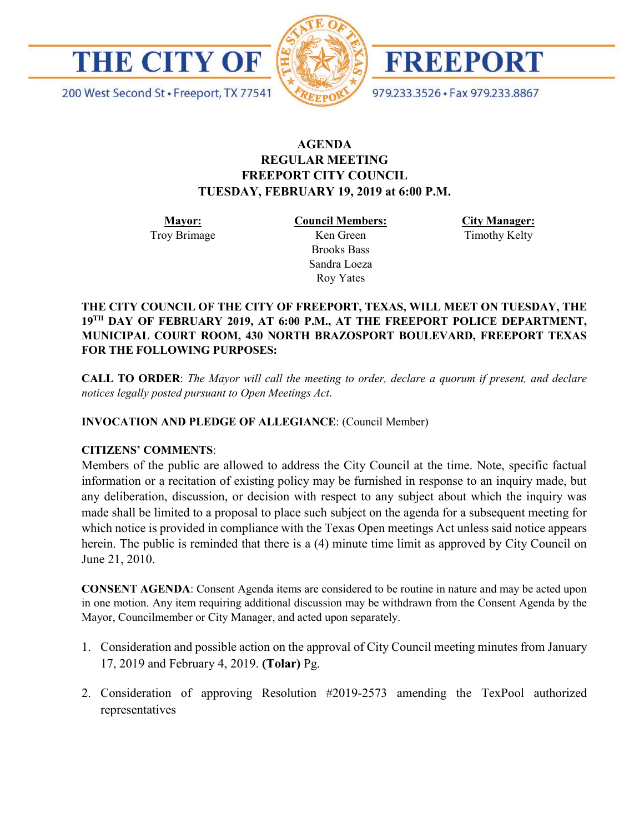



FREEPORT

200 West Second St · Freeport, TX 77541

979.233.3526 · Fax 979.233.8867

# **AGENDA REGULAR MEETING FREEPORT CITY COUNCIL TUESDAY, FEBRUARY 19, 2019 at 6:00 P.M.**

**Mayor:** Troy Brimage **Council Members:** Ken Green

> Brooks Bass Sandra Loeza Roy Yates

**City Manager:**

Timothy Kelty

**THE CITY COUNCIL OF THE CITY OF FREEPORT, TEXAS, WILL MEET ON TUESDAY, THE 19TH DAY OF FEBRUARY 2019, AT 6:00 P.M., AT THE FREEPORT POLICE DEPARTMENT, MUNICIPAL COURT ROOM, 430 NORTH BRAZOSPORT BOULEVARD, FREEPORT TEXAS FOR THE FOLLOWING PURPOSES:**

**CALL TO ORDER**: *The Mayor will call the meeting to order, declare a quorum if present, and declare notices legally posted pursuant to Open Meetings Act*.

**INVOCATION AND PLEDGE OF ALLEGIANCE**: (Council Member)

## **CITIZENS' COMMENTS**:

Members of the public are allowed to address the City Council at the time. Note, specific factual information or a recitation of existing policy may be furnished in response to an inquiry made, but any deliberation, discussion, or decision with respect to any subject about which the inquiry was made shall be limited to a proposal to place such subject on the agenda for a subsequent meeting for which notice is provided in compliance with the Texas Open meetings Act unless said notice appears herein. The public is reminded that there is a (4) minute time limit as approved by City Council on June 21, 2010.

**CONSENT AGENDA**: Consent Agenda items are considered to be routine in nature and may be acted upon in one motion. Any item requiring additional discussion may be withdrawn from the Consent Agenda by the Mayor, Councilmember or City Manager, and acted upon separately.

- 1. Consideration and possible action on the approval of City Council meeting minutes from January 17, 2019 and February 4, 2019. **(Tolar)** Pg.
- 2. Consideration of approving Resolution #2019-2573 amending the TexPool authorized representatives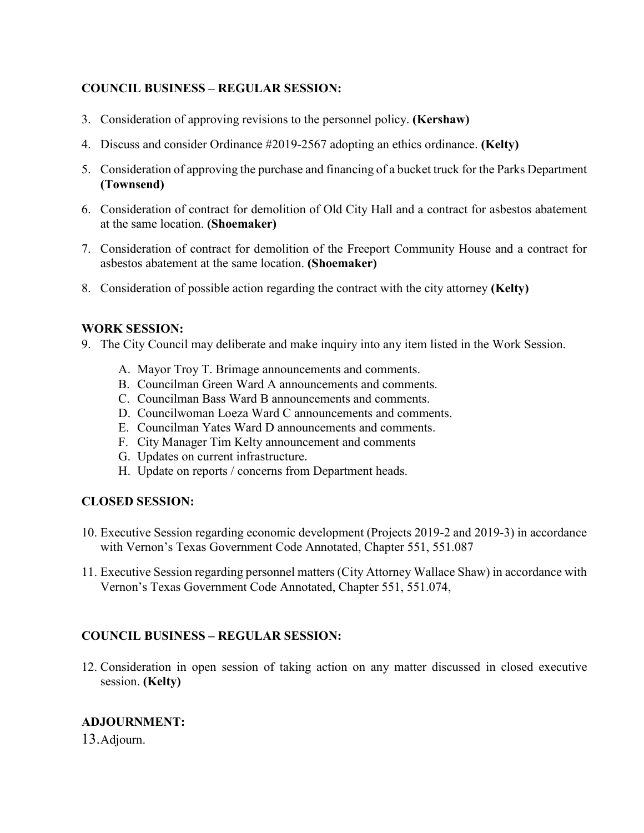## **COUNCIL BUSINESS – REGULAR SESSION:**

- 3. Consideration of approving revisions to the personnel policy. **(Kershaw)**
- 4. Discuss and consider Ordinance #2019-2567 adopting an ethics ordinance. **(Kelty)**
- 5. Consideration of approving the purchase and financing of a bucket truck for the Parks Department **(Townsend)**
- 6. Consideration of contract for demolition of Old City Hall and a contract for asbestos abatement at the same location. **(Shoemaker)**
- 7. Consideration of contract for demolition of the Freeport Community House and a contract for asbestos abatement at the same location. **(Shoemaker)**
- 8. Consideration of possible action regarding the contract with the city attorney **(Kelty)**

#### **WORK SESSION:**

- 9. The City Council may deliberate and make inquiry into any item listed in the Work Session.
	- A. Mayor Troy T. Brimage announcements and comments.
	- B. Councilman Green Ward A announcements and comments.
	- C. Councilman Bass Ward B announcements and comments.
	- D. Councilwoman Loeza Ward C announcements and comments.
	- E. Councilman Yates Ward D announcements and comments.
	- F. City Manager Tim Kelty announcement and comments
	- G. Updates on current infrastructure.
	- H. Update on reports / concerns from Department heads.

#### **CLOSED SESSION:**

- 10. Executive Session regarding economic development (Projects 2019-2 and 2019-3) in accordance with Vernon's Texas Government Code Annotated, Chapter 551, 551.087
- 11. Executive Session regarding personnel matters (City Attorney Wallace Shaw) in accordance with Vernon's Texas Government Code Annotated, Chapter 551, 551.074,

## **COUNCIL BUSINESS – REGULAR SESSION:**

12. Consideration in open session of taking action on any matter discussed in closed executive session. **(Kelty)**

#### **ADJOURNMENT:**

13.Adjourn.